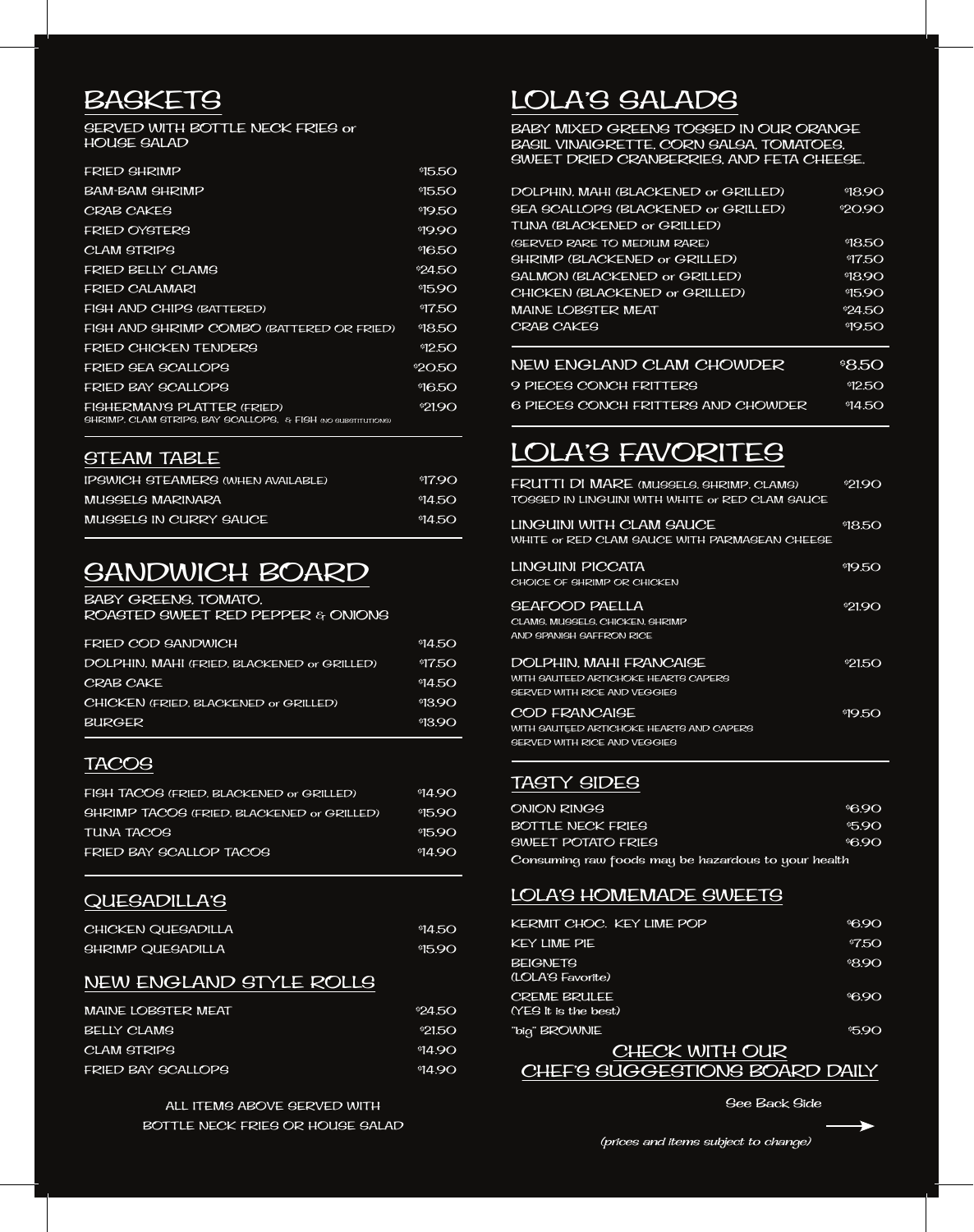### **BASKETS**

SERVED WITH BOTTLE NECK FRIES or HOUSE SALAD

| <b>FRIED GHRIMP</b>                                                                         | 95.50   |
|---------------------------------------------------------------------------------------------|---------|
| <b>BAM-BAM SHRIMP</b>                                                                       | 95.50   |
| <b>CRAB CAKES</b>                                                                           | 950     |
| <b>FRIED OYSTERS</b>                                                                        | 9990    |
| CLAM STRIPS                                                                                 | 96.50   |
| FRIED BELLY CLAMS                                                                           | 924.5O  |
| FRIED CALAMARI                                                                              | 9590    |
| <b>FIGH AND CHIPS (BATTERED)</b>                                                            | 975O    |
| FIGH AND GHRIMP COMBO (BATTERED OR FRIED)                                                   | 98.50   |
| FRIED CHICKEN TENDERS                                                                       | 9250    |
| FRIED SEA SCALLOPS                                                                          | \$20.50 |
| FRIED BAY SCALLOPS                                                                          | 9650    |
| FIGHERMAN'S PLATTER (FRIED)<br>SHRIMP, CLAM STRIPS, BAY SCALLOPS, & FISH (NO SUBSTITUTIONS) | \$2190  |

#### STEAM TABLE

| IPSWICH STEAMERS (WHEN AVAILABLE) | 97.90  |
|-----------------------------------|--------|
| MUSSELS MARINARA                  | 914.50 |
| MUSSELS IN CURRY SAUCE            | 914.50 |

### SANDWICH BOARD

#### BABY GREENS, TOMATO,

ROASTED SWEET RED PEPPER & ONIONS

| FRIED COD SANDWICH                          | 94.50   |
|---------------------------------------------|---------|
| DOLPHIN, MAHI (FRIED, BLACKENED or GRILLED) | 97.50   |
| <b>CRAB CAKE</b>                            | 94.50   |
| CHICKEN (FRIED, BLACKENED or GRILLED)       | \$13.90 |
| <b>BURGER</b>                               | \$13.90 |
|                                             |         |

### TACOS

| FIGH TACOS (FRIED, BLACKENED or GRILLED)          | 94.90  |
|---------------------------------------------------|--------|
| <b>SHRIMP TACOS (FRIED, BLACKENED or GRILLED)</b> | 915.90 |
| TUNA TACOS                                        | 95.90  |
| FRIED BAY SCALLOP TACOS                           | 9490   |
|                                                   |        |

### QUESADILLA'S

| CHICKEN OUESADILLA       | 94.50 |
|--------------------------|-------|
| <b>GHRIMP QUEGADILLA</b> | 95.90 |

#### NEW ENGLAND STYLE ROLLS

| <b>MAINE LOBGTER MEAT</b> | <sup>\$</sup> 24.50 |
|---------------------------|---------------------|
| <b>BELLY CLAMS</b>        | \$21.50             |
| <b>CLAM STRIPS</b>        | \$14 90             |
| FRIED BAY SCALLOPS        | \$14 90             |

ALL ITEMS ABOVE SERVED WITH BOTTLE NECK FRIES OR HOUSE SALAD

### LOLA'S SALADS

BABY MIXED GREENS TOSSED IN OUR ORANGE BASIL VINAIGRETTE, CORN SALSA, TOMATOES, SWEET DRIED CRANBERRIES, AND FETA CHEESE.

| DOLPHIN, MAHI (BLACKENED or GRILLED)       | 98.90   |
|--------------------------------------------|---------|
| <b>SEA SCALLOPS (BLACKENED or GRILLED)</b> | \$20.90 |
| TUNA (BLACKENED or GRILLED)                |         |
| (SERVED RARE TO MEDIUM RARE)               | \$18.50 |
| <b>GHRIMP (BLACKENED or GRILLED)</b>       | 9750    |
| <b>GALMON (BLACKENED or GRILLED)</b>       | 9890    |
| CHICKEN (BLACKENED or GRILLED)             | 9590    |
| <b>MAINE LOBSTER MEAT</b>                  | 924.5O  |
| CRAB CAKES                                 | 950     |
|                                            |         |
| NEW ENGLAND CLAM CHOWDER                   | 88.50   |
| <b>9 PIECES CONCH FRITTERS</b>             | 9250    |
| 6 PIECES CONCH FRITTERS AND CHOWDER        | 914.50  |

# LOLA'S FAVORITES

| FRUTTI DI MARE (MUSSELS, SHRIMP, CLAMS)<br>TOGGED IN LINGUINI WITH WHITE or RED CLAM GAUCE             | 92190  |
|--------------------------------------------------------------------------------------------------------|--------|
| LINGUINI WITH CLAM SAUCE<br>WHITE or RED CLAM SAUCE WITH PARMASEAN CHEESE                              | 9850   |
| LINGUINI PICCATA<br>CHOICE OF SHRIMP OR CHICKEN                                                        | 950    |
| SEAFOOD PAELLA<br>CLAMS, MUSSELS, CHICKEN, SHRIMP<br>AND SPANISH SAFFRON RICE                          | \$2190 |
| DOLPHIN. MAHI FRANCAISE<br>WITH SAUTEED ARTICHOKE HEARTS CAPERS<br><b>SERVED WITH RICE AND VEGGIES</b> | 92150  |
| COD FRANCAISE<br>WITH SAUTEED ARTICHOKE HEARTS AND CAPERS<br><b>SERVED WITH RICE AND VEGGIES</b>       | 950    |

### TASTY SIDES

| ONION RINGS                                         | <b>96.90</b> |
|-----------------------------------------------------|--------------|
| BOTTLE NECK FRIES                                   | \$5.90       |
| <b>SWEET POTATO FRIES</b>                           | <b>96.90</b> |
| Consuming raw foods may be hazardous to your health |              |

### LOLA'S HOMEMADE SWEETS

| KERMIT CHOC. KEY LIME POP      | <b>96.90</b>  |
|--------------------------------|---------------|
|                                |               |
| KEY LIME PIE                   | $\degree$ 750 |
| BEIGNETS                       | 890           |
| (LOLA'S Favorite)              |               |
| CREME BRULEE                   | <b>96.90</b>  |
| (YES It is the best)           |               |
| "biq" BROWNIE                  | \$5.90        |
| CHECK WITH OUR                 |               |
| CHEF'S SUGGESTIONS BOARD DAILY |               |

See Back Side